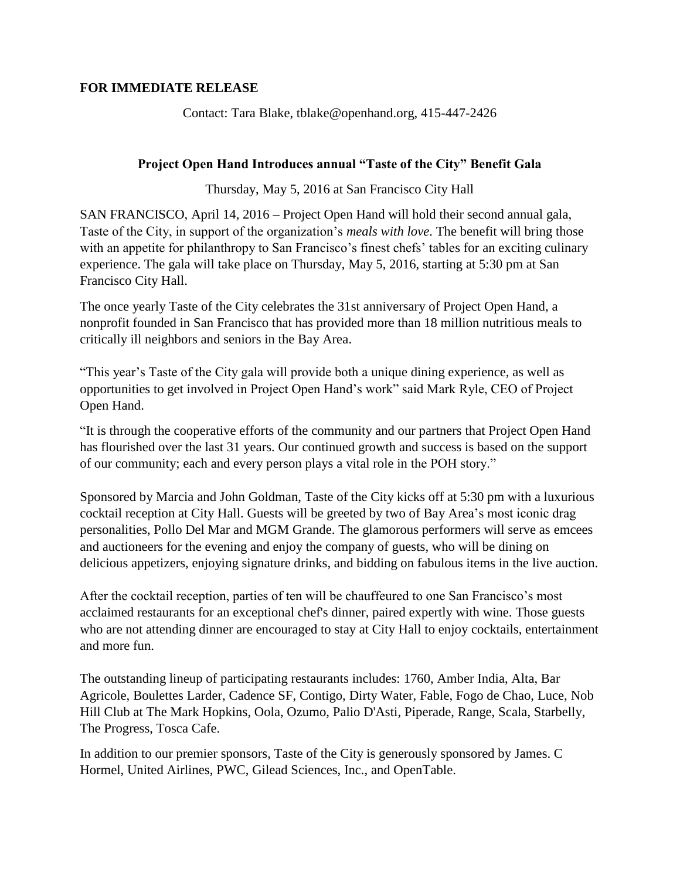## **FOR IMMEDIATE RELEASE**

Contact: Tara Blake, tblake@openhand.org, 415-447-2426

## **Project Open Hand Introduces annual "Taste of the City" Benefit Gala**

Thursday, May 5, 2016 at San Francisco City Hall

SAN FRANCISCO, April 14, 2016 – Project Open Hand will hold their second annual gala, Taste of the City, in support of the organization's *meals with love*. The benefit will bring those with an appetite for philanthropy to San Francisco's finest chefs' tables for an exciting culinary experience. The gala will take place on Thursday, May 5, 2016, starting at 5:30 pm at San Francisco City Hall.

The once yearly Taste of the City celebrates the 31st anniversary of Project Open Hand, a nonprofit founded in San Francisco that has provided more than 18 million nutritious meals to critically ill neighbors and seniors in the Bay Area.

"This year's Taste of the City gala will provide both a unique dining experience, as well as opportunities to get involved in Project Open Hand's work" said Mark Ryle, CEO of Project Open Hand.

"It is through the cooperative efforts of the community and our partners that Project Open Hand has flourished over the last 31 years. Our continued growth and success is based on the support of our community; each and every person plays a vital role in the POH story."

Sponsored by Marcia and John Goldman, Taste of the City kicks off at 5:30 pm with a luxurious cocktail reception at City Hall. Guests will be greeted by two of Bay Area's most iconic drag personalities, Pollo Del Mar and MGM Grande. The glamorous performers will serve as emcees and auctioneers for the evening and enjoy the company of guests, who will be dining on delicious appetizers, enjoying signature drinks, and bidding on fabulous items in the live auction.

After the cocktail reception, parties of ten will be chauffeured to one San Francisco's most acclaimed restaurants for an exceptional chef's dinner, paired expertly with wine. Those guests who are not attending dinner are encouraged to stay at City Hall to enjoy cocktails, entertainment and more fun.

The outstanding lineup of participating restaurants includes: [1760,](http://www.1760sf.com/) Amber India, [Alta,](http://altaca.co/) [Bar](http://www.baragricole.co/)  [Agricole,](http://www.baragricole.co/) [Boulettes Larder,](http://www.bouletteslarder.com/) [Cadence SF,](http://cadencesf.com/) [Contigo,](http://www.contigosf.com/) Dirty Water, Fable, Fogo de Chao, [Luce,](http://lucewinerestaurant.com/index.php) [Nob](http://www.intercontinentalmarkhopkins.com/top-of-the-mark/nob-hill-club.aspx)  [Hill Club at The Mark Hopkins,](http://www.intercontinentalmarkhopkins.com/top-of-the-mark/nob-hill-club.aspx) Oola, Ozumo, [Palio D'Asti,](http://www.paliodasti.com/) [Piperade,](http://www.piperade.com/) Range, [Scala,](http://www.scalasbistro.com/) [Starbelly,](http://starbellysf.com/) [The Progress,](http://theprogress-sf.com/) Tosca Cafe.

In addition to our premier sponsors, Taste of the City is generously sponsored by James. C Hormel, United Airlines, PWC, Gilead Sciences, Inc., and OpenTable.